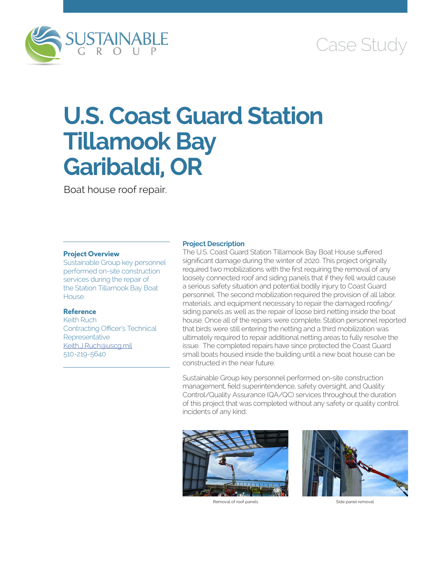

## Case Study

# **U.S. Coast Guard Station Tillamook Bay Garibaldi, OR**

Boat house roof repair.

#### **Project Overview**

Sustainable Group key personnel performed on-site construction services during the repair of the Station Tillamook Bay Boat House.

#### **Reference**

Keith Ruch Contracting Officer's Technical Representative [Keith.J.Ruch@uscg.mil](mailto:Keith.J.Ruch@uscg.mil) 510-219-5640

#### **Project Description**

The U.S. Coast Guard Station Tillamook Bay Boat House suffered significant damage during the winter of 2020. This project originally required two mobilizations with the first requiring the removal of any loosely connected roof and siding panels that if they fell would cause a serious safety situation and potential bodily injury to Coast Guard personnel. The second mobilization required the provision of all labor, materials, and equipment necessary to repair the damaged roofing/ siding panels as well as the repair of loose bird netting inside the boat house. Once all of the repairs were complete, Station personnel reported that birds were still entering the netting and a third mobilization was ultimately required to repair additional netting areas to fully resolve the issue. The completed repairs have since protected the Coast Guard small boats housed inside the building until a new boat house can be constructed in the near future.

Sustainable Group key personnel performed on-site construction management, field superintendence, safety oversight, and Quality Control/Quality Assurance (QA/QC) services throughout the duration of this project that was completed without any safety or quality control incidents of any kind.



Removal of roof panels extending the state of the Side panel removal